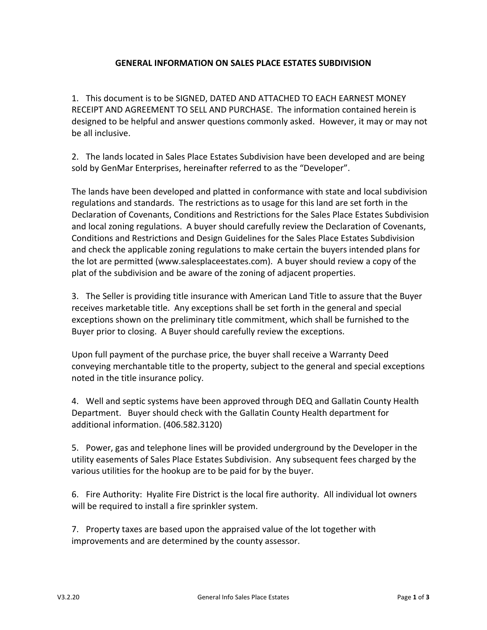## **GENERAL INFORMATION ON SALES PLACE ESTATES SUBDIVISION**

1. This document is to be SIGNED, DATED AND ATTACHED TO EACH EARNEST MONEY RECEIPT AND AGREEMENT TO SELL AND PURCHASE. The information contained herein is designed to be helpful and answer questions commonly asked. However, it may or may not be all inclusive.

2. The lands located in Sales Place Estates Subdivision have been developed and are being sold by GenMar Enterprises, hereinafter referred to as the "Developer".

The lands have been developed and platted in conformance with state and local subdivision regulations and standards. The restrictions as to usage for this land are set forth in the Declaration of Covenants, Conditions and Restrictions for the Sales Place Estates Subdivision and local zoning regulations. A buyer should carefully review the Declaration of Covenants, Conditions and Restrictions and Design Guidelines for the Sales Place Estates Subdivision and check the applicable zoning regulations to make certain the buyers intended plans for the lot are permitted (www.salesplaceestates.com). A buyer should review a copy of the plat of the subdivision and be aware of the zoning of adjacent properties.

3. The Seller is providing title insurance with American Land Title to assure that the Buyer receives marketable title. Any exceptions shall be set forth in the general and special exceptions shown on the preliminary title commitment, which shall be furnished to the Buyer prior to closing. A Buyer should carefully review the exceptions.

Upon full payment of the purchase price, the buyer shall receive a Warranty Deed conveying merchantable title to the property, subject to the general and special exceptions noted in the title insurance policy.

4. Well and septic systems have been approved through DEQ and Gallatin County Health Department. Buyer should check with the Gallatin County Health department for additional information. (406.582.3120)

5. Power, gas and telephone lines will be provided underground by the Developer in the utility easements of Sales Place Estates Subdivision. Any subsequent fees charged by the various utilities for the hookup are to be paid for by the buyer.

6. Fire Authority: Hyalite Fire District is the local fire authority. All individual lot owners will be required to install a fire sprinkler system.

7. Property taxes are based upon the appraised value of the lot together with improvements and are determined by the county assessor.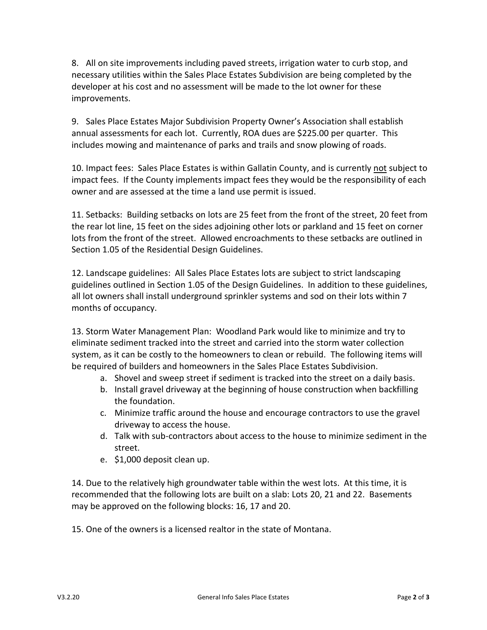8. All on site improvements including paved streets, irrigation water to curb stop, and necessary utilities within the Sales Place Estates Subdivision are being completed by the developer at his cost and no assessment will be made to the lot owner for these improvements.

9. Sales Place Estates Major Subdivision Property Owner's Association shall establish annual assessments for each lot. Currently, ROA dues are \$225.00 per quarter. This includes mowing and maintenance of parks and trails and snow plowing of roads.

10. Impact fees: Sales Place Estates is within Gallatin County, and is currently not subject to impact fees. If the County implements impact fees they would be the responsibility of each owner and are assessed at the time a land use permit is issued.

11. Setbacks: Building setbacks on lots are 25 feet from the front of the street, 20 feet from the rear lot line, 15 feet on the sides adjoining other lots or parkland and 15 feet on corner lots from the front of the street. Allowed encroachments to these setbacks are outlined in Section 1.05 of the Residential Design Guidelines.

12. Landscape guidelines: All Sales Place Estates lots are subject to strict landscaping guidelines outlined in Section 1.05 of the Design Guidelines. In addition to these guidelines, all lot owners shall install underground sprinkler systems and sod on their lots within 7 months of occupancy.

13. Storm Water Management Plan: Woodland Park would like to minimize and try to eliminate sediment tracked into the street and carried into the storm water collection system, as it can be costly to the homeowners to clean or rebuild. The following items will be required of builders and homeowners in the Sales Place Estates Subdivision.

- a. Shovel and sweep street if sediment is tracked into the street on a daily basis.
- b. Install gravel driveway at the beginning of house construction when backfilling the foundation.
- c. Minimize traffic around the house and encourage contractors to use the gravel driveway to access the house.
- d. Talk with sub-contractors about access to the house to minimize sediment in the street.
- e. \$1,000 deposit clean up.

14. Due to the relatively high groundwater table within the west lots. At this time, it is recommended that the following lots are built on a slab: Lots 20, 21 and 22. Basements may be approved on the following blocks: 16, 17 and 20.

15. One of the owners is a licensed realtor in the state of Montana.